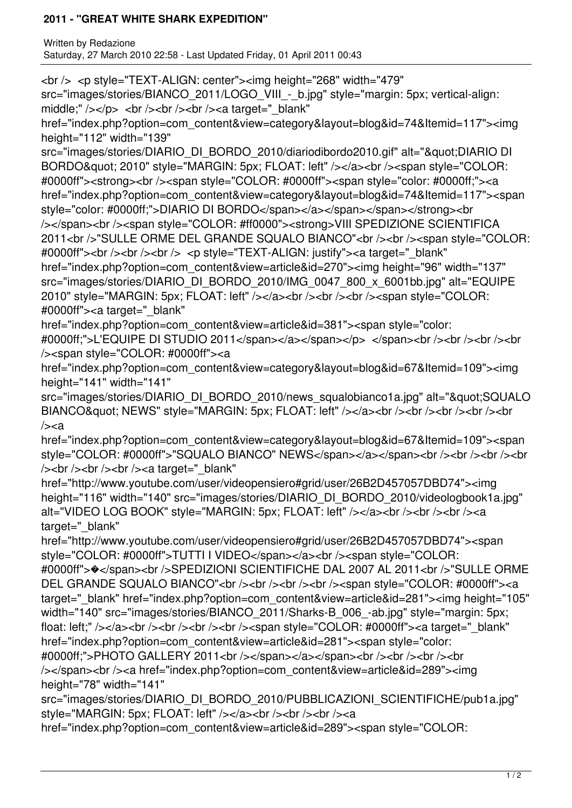## **2011 - "GREAT WHITE SHARK EXPEDITION"**

Written by Redazione Saturday, 27 March 2010 22:58 - Last Updated Friday, 01 April 2011 00:43

<br /> <p style="TEXT-ALIGN: center"><img height="268" width="479"

src="images/stories/BIANCO\_2011/LOGO\_VIII - b.jpg" style="margin: 5px; vertical-align: middle;"  $\frac{\text{y}}{\text{y}}$  />  $\text{y}$  />  $\text{y}$  />  $\text{y}$  />  $\text{y}$  />  $\text{y}$  />  $\text{y}$  a target=" blank"

href="index.php?option=com\_content&view=category&layout=blog&id=74&Itemid=117"><img height="112" width="139"

src="images/stories/DIARIO\_DI\_BORDO\_2010/diariodibordo2010.gif" alt=""DIARIO DI BORDO" 2010" style="MARGIN: 5px; FLOAT: left" /></a><br />>/>><span style="COLOR: #0000ff"><strong><br /><span style="COLOR: #0000ff"><span style="color: #0000ff;"><a href="index.php?option=com\_content&view=category&layout=blog&id=74&Itemid=117"><span style="color: #0000ff;">DIARIO DI BORDO</span></a></span></span></strong><br/><br/>chr /></span><br />>span style="COLOR: #ff0000"><strong>VIII SPEDIZIONE SCIENTIFICA 2011<br />> "SULLE ORME DEL GRANDE SQUALO BIANCO"<br />>> />><br />><span style="COLOR: #0000ff"><br />>> /><br />> /> <p style="TEXT-ALIGN: justify"><a target=" blank" href="index.php?option=com\_content&view=article&id=270"><img height="96" width="137" src="images/stories/DIARIO\_DI\_BORDO\_2010/IMG\_0047\_800\_x\_6001bb.jpg" alt="EQUIPE 2010" style="MARGIN: 5px; FLOAT: left" /></a><br />>/>><br />>/>/><br />>/><span style="COLOR: #0000ff"><a target="\_blank"

href="index.php?option=com\_content&view=article&id=381"><span style="color: #0000ff;">L'EQUIPE DI STUDIO 2011</span></a></span></p> </span><br />>/span><br />>/>></br />></br /> /><span style="COLOR: #0000ff"><a

href="index.php?option=com\_content&view=category&layout=blog&id=67&Itemid=109"><img height="141" width="141"

src="images/stories/DIARIO\_DI\_BORDO\_2010/news\_squalobianco1a.jpg" alt="&quot:SQUALO BIANCO" NEWS" style="MARGIN: 5px; FLOAT: left" /></a><br />>/>><br />>/>/><br />>/>/><br />><br  $/>=a$ 

href="index.php?option=com\_content&view=category&layout=blog&id=67&Itemid=109"><span style="COLOR: #0000ff">"SQUALO BIANCO" NEWS</span></a></span><br />>>/>><br />><br />><br />></br /> /> /> < br /> < br /> /> < br /> /> < a target="\_blank"

href="http://www.youtube.com/user/videopensiero#grid/user/26B2D457057DBD74"><img height="116" width="140" src="images/stories/DIARIO\_DI\_BORDO\_2010/videologbook1a.jpg" alt="VIDEO LOG BOOK" style="MARGIN: 5px; FLOAT: left" /></a><br />>/>/><br />>/>/<a target=" blank"

href="http://www.youtube.com/user/videopensiero#grid/user/26B2D457057DBD74"><span style="COLOR: #0000ff">TUTTI I VIDEO</span></a><br />>/>><span style="COLOR: #0000ff">�</span><br />SPEDIZIONI SCIENTIFICHE DAL 2007 AL 2011<br />"SULLE ORME DEL GRANDE SQUALO BIANCO"<br />>/>><br />>/> /><br />>/> /><br />><span style="COLOR: #0000ff"><a target="\_blank" href="index.php?option=com\_content&view=article&id=281"><img height="105" width="140" src="images/stories/BIANCO\_2011/Sharks-B\_006\_-ab.jpg" style="margin: 5px; float: left;" /></a><br />>/> /><br />>/> /><br />>/> /><span style="COLOR: #0000ff"><a target="\_blank" href="index.php?option=com\_content&view=article&id=281"><span style="color: #0000ff;">PHOTO GALLERY 2011<br/>cbr /></span></a></span><br />>>/>><br />><br />><br />><br />  $\<$ /span>
stor />
a href="index.php?option=com\_content&view=article&id=289">
sima height="78" width="141"

src="images/stories/DIARIO\_DI\_BORDO\_2010/PUBBLICAZIONI\_SCIENTIFICHE/pub1a.jpg" style="MARGIN: 5px; FLOAT: left" /></a> </br />>/> /><br />>/> </a>

href="index.php?option=com\_content&view=article&id=289"><span style="COLOR: